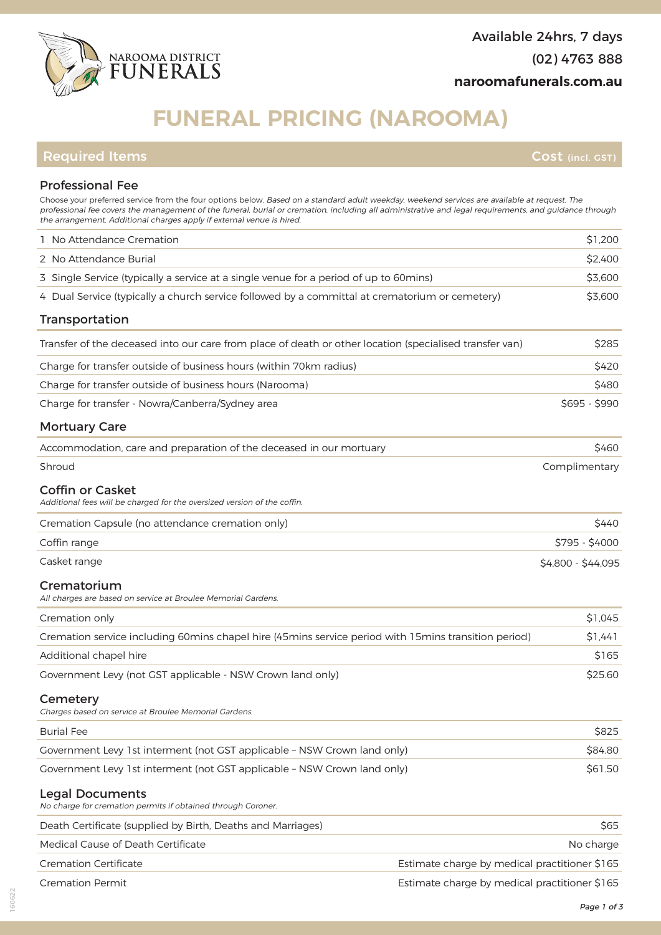

# **FUNERAL PRICING (NAROOMA)**

## **Required Items Cost (incl. GST)**

## Professional Fee

| Choose your preferred service from the four options below. Based on a standard adult weekday, weekend services are available at request. The<br>professional fee covers the management of the funeral, burial or cremation, including all administrative and legal requirements, and guidance through<br>the arrangement. Additional charges apply if external venue is hired. |                    |
|--------------------------------------------------------------------------------------------------------------------------------------------------------------------------------------------------------------------------------------------------------------------------------------------------------------------------------------------------------------------------------|--------------------|
| 1 No Attendance Cremation                                                                                                                                                                                                                                                                                                                                                      | \$1,200            |
| 2 No Attendance Burial                                                                                                                                                                                                                                                                                                                                                         | \$2,400            |
| 3 Single Service (typically a service at a single venue for a period of up to 60mins)                                                                                                                                                                                                                                                                                          | \$3,600            |
| 4 Dual Service (typically a church service followed by a committal at crematorium or cemetery)                                                                                                                                                                                                                                                                                 | \$3,600            |
| Transportation                                                                                                                                                                                                                                                                                                                                                                 |                    |
| Transfer of the deceased into our care from place of death or other location (specialised transfer van)                                                                                                                                                                                                                                                                        | \$285              |
| Charge for transfer outside of business hours (within 70km radius)                                                                                                                                                                                                                                                                                                             | \$420              |
| Charge for transfer outside of business hours (Narooma)                                                                                                                                                                                                                                                                                                                        | \$480              |
| Charge for transfer - Nowra/Canberra/Sydney area                                                                                                                                                                                                                                                                                                                               | $$695 - $990$      |
| <b>Mortuary Care</b>                                                                                                                                                                                                                                                                                                                                                           |                    |
| Accommodation, care and preparation of the deceased in our mortuary                                                                                                                                                                                                                                                                                                            | \$460              |
| Shroud                                                                                                                                                                                                                                                                                                                                                                         | Complimentary      |
| <b>Coffin or Casket</b><br>Additional fees will be charged for the oversized version of the coffin.                                                                                                                                                                                                                                                                            |                    |
| Cremation Capsule (no attendance cremation only)                                                                                                                                                                                                                                                                                                                               | \$440              |
| Coffin range                                                                                                                                                                                                                                                                                                                                                                   | \$795 - \$4000     |
|                                                                                                                                                                                                                                                                                                                                                                                |                    |
| Casket range                                                                                                                                                                                                                                                                                                                                                                   | \$4,800 - \$44,095 |
| Crematorium<br>All charges are based on service at Broulee Memorial Gardens.                                                                                                                                                                                                                                                                                                   |                    |
| Cremation only                                                                                                                                                                                                                                                                                                                                                                 | \$1,045            |
| Cremation service including 60mins chapel hire (45mins service period with 15mins transition period)                                                                                                                                                                                                                                                                           | \$1,441            |
| Additional chapel hire                                                                                                                                                                                                                                                                                                                                                         | \$165              |
| Government Levy (not GST applicable - NSW Crown land only)                                                                                                                                                                                                                                                                                                                     | \$25.60            |
| Cemetery<br>Charges based on service at Broulee Memorial Gardens.                                                                                                                                                                                                                                                                                                              |                    |
| <b>Burial Fee</b>                                                                                                                                                                                                                                                                                                                                                              | \$825              |
| Government Levy 1st interment (not GST applicable - NSW Crown land only)                                                                                                                                                                                                                                                                                                       | \$84.80            |
| Government Levy 1st interment (not GST applicable - NSW Crown land only)                                                                                                                                                                                                                                                                                                       | \$61.50            |
| <b>Legal Documents</b><br>No charge for cremation permits if obtained through Coroner.                                                                                                                                                                                                                                                                                         |                    |
| Death Certificate (supplied by Birth, Deaths and Marriages)                                                                                                                                                                                                                                                                                                                    | \$65               |
| Medical Cause of Death Certificate                                                                                                                                                                                                                                                                                                                                             | No charge          |
| <b>Cremation Certificate</b><br>Estimate charge by medical practitioner \$165                                                                                                                                                                                                                                                                                                  |                    |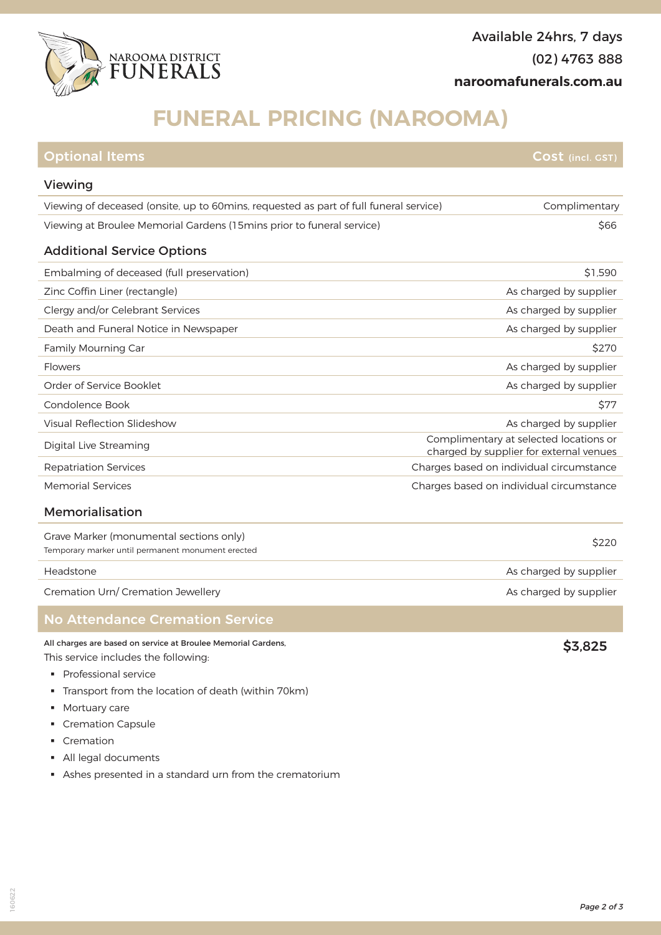

# **FUNERAL PRICING (NAROOMA)**

| <b>Optional Items</b>                                                                  | Cost (incl. GST)                                                                  |
|----------------------------------------------------------------------------------------|-----------------------------------------------------------------------------------|
| Viewing                                                                                |                                                                                   |
| Viewing of deceased (onsite, up to 60 mins, requested as part of full funeral service) | Complimentary                                                                     |
| Viewing at Broulee Memorial Gardens (15mins prior to funeral service)                  | \$66                                                                              |
| <b>Additional Service Options</b>                                                      |                                                                                   |
| Embalming of deceased (full preservation)                                              | \$1,590                                                                           |
| Zinc Coffin Liner (rectangle)                                                          | As charged by supplier                                                            |
| Clergy and/or Celebrant Services                                                       | As charged by supplier                                                            |
| Death and Funeral Notice in Newspaper                                                  | As charged by supplier                                                            |
| <b>Family Mourning Car</b>                                                             | \$270                                                                             |
| Flowers                                                                                | As charged by supplier                                                            |
| Order of Service Booklet                                                               | As charged by supplier                                                            |
| Condolence Book                                                                        | <b>\$77</b>                                                                       |
| Visual Reflection Slideshow                                                            | As charged by supplier                                                            |
| Digital Live Streaming                                                                 | Complimentary at selected locations or<br>charged by supplier for external venues |
| <b>Repatriation Services</b>                                                           | Charges based on individual circumstance                                          |
| <b>Memorial Services</b>                                                               | Charges based on individual circumstance                                          |
| Memorialisation                                                                        |                                                                                   |
| Grave Marker (monumental sections only)                                                | ぐつつへ                                                                              |

Grave Marker (monumental sections only)<br>Temporary marker until permanent monument erected \$2200 \$2200 \$2200 \$2200 \$2200 \$

#### Headstone **As charged by supplier**

Cremation Urn/ Cremation Jewellery and the contract of the contract of the charged by supplier

### No Attendance Cremation Service

### All charges are based on service at Broulee Memorial Gardens, This service includes the following:

- § Professional service
- § Transport from the location of death (within 70km)
- § Mortuary care
- § Cremation Capsule
- § Cremation
- § All legal documents
- § Ashes presented in a standard urn from the crematorium

160622

\$3,825